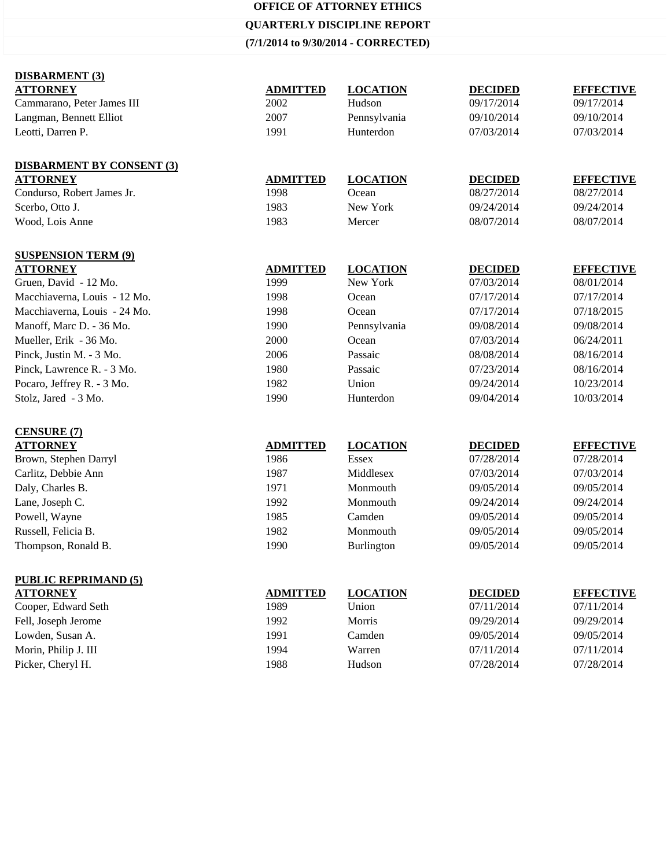## **OFFICE OF ATTORNEY ETHICS QUARTERLY DISCIPLINE REPORT (7/1/2014 to 9/30/2014 - CORRECTED)**

| <b>DISBARMENT</b> (3)                 |                 |                 |                |                  |
|---------------------------------------|-----------------|-----------------|----------------|------------------|
| <b>ATTORNEY</b>                       | <b>ADMITTED</b> | <b>LOCATION</b> | <b>DECIDED</b> | <b>EFFECTIVE</b> |
| Cammarano, Peter James III            | 2002            | Hudson          | 09/17/2014     | 09/17/2014       |
| Langman, Bennett Elliot               | 2007            | Pennsylvania    | 09/10/2014     | 09/10/2014       |
| Leotti, Darren P.                     | 1991            | Hunterdon       | 07/03/2014     | 07/03/2014       |
|                                       |                 |                 |                |                  |
| <b>DISBARMENT BY CONSENT (3)</b>      |                 |                 |                |                  |
| <b>ATTORNEY</b>                       | <b>ADMITTED</b> | <b>LOCATION</b> | <b>DECIDED</b> | <b>EFFECTIVE</b> |
| Condurso, Robert James Jr.            | 1998            | Ocean           | 08/27/2014     | 08/27/2014       |
| Scerbo, Otto J.                       | 1983            | New York        | 09/24/2014     | 09/24/2014       |
| Wood, Lois Anne                       | 1983            | Mercer          | 08/07/2014     | 08/07/2014       |
| <b>SUSPENSION TERM (9)</b>            |                 |                 |                |                  |
| <b>ATTORNEY</b>                       | <b>ADMITTED</b> | <b>LOCATION</b> | <b>DECIDED</b> | <b>EFFECTIVE</b> |
| Gruen, David - 12 Mo.                 | 1999            | New York        | 07/03/2014     | 08/01/2014       |
| Macchiaverna, Louis - 12 Mo.          | 1998            | Ocean           | 07/17/2014     | 07/17/2014       |
| Macchiaverna, Louis - 24 Mo.          | 1998            | Ocean           | 07/17/2014     | 07/18/2015       |
| Manoff, Marc D. - 36 Mo.              | 1990            | Pennsylvania    | 09/08/2014     | 09/08/2014       |
| Mueller, Erik - 36 Mo.                | 2000            | Ocean           | 07/03/2014     | 06/24/2011       |
| Pinck, Justin M. - 3 Mo.              | 2006            | Passaic         | 08/08/2014     | 08/16/2014       |
| Pinck, Lawrence R. - 3 Mo.            | 1980            | Passaic         | 07/23/2014     | 08/16/2014       |
| Pocaro, Jeffrey R. - 3 Mo.            | 1982            | Union           | 09/24/2014     | 10/23/2014       |
| Stolz, Jared - 3 Mo.                  | 1990            | Hunterdon       | 09/04/2014     | 10/03/2014       |
|                                       |                 |                 |                |                  |
| <b>CENSURE (7)</b><br><b>ATTORNEY</b> | <b>ADMITTED</b> | <b>LOCATION</b> | <b>DECIDED</b> | <b>EFFECTIVE</b> |
| Brown, Stephen Darryl                 | 1986            | <b>Essex</b>    | 07/28/2014     | 07/28/2014       |
| Carlitz, Debbie Ann                   | 1987            | Middlesex       | 07/03/2014     | 07/03/2014       |
| Daly, Charles B.                      | 1971            | Monmouth        | 09/05/2014     | 09/05/2014       |
| Lane, Joseph C.                       | 1992            | Monmouth        | 09/24/2014     | 09/24/2014       |
| Powell, Wayne                         | 1985            | Camden          | 09/05/2014     | 09/05/2014       |
| Russell, Felicia B.                   | 1982            | Monmouth        | 09/05/2014     | 09/05/2014       |
| Thompson, Ronald B.                   | 1990            | Burlington      | 09/05/2014     | 09/05/2014       |
|                                       |                 |                 |                |                  |
| <b>PUBLIC REPRIMAND (5)</b>           |                 |                 |                |                  |
| <b>ATTORNEY</b>                       | <b>ADMITTED</b> | <b>LOCATION</b> | <b>DECIDED</b> | <b>EFFECTIVE</b> |
| Cooper, Edward Seth                   | 1989            | Union           | 07/11/2014     | 07/11/2014       |
| Fell, Joseph Jerome                   | 1992            | Morris          | 09/29/2014     | 09/29/2014       |
| Lowden, Susan A.                      | 1991            | Camden          | 09/05/2014     | 09/05/2014       |
| Morin, Philip J. III                  | 1994            | Warren          | 07/11/2014     | 07/11/2014       |
| Picker, Cheryl H.                     | 1988            | Hudson          | 07/28/2014     | 07/28/2014       |